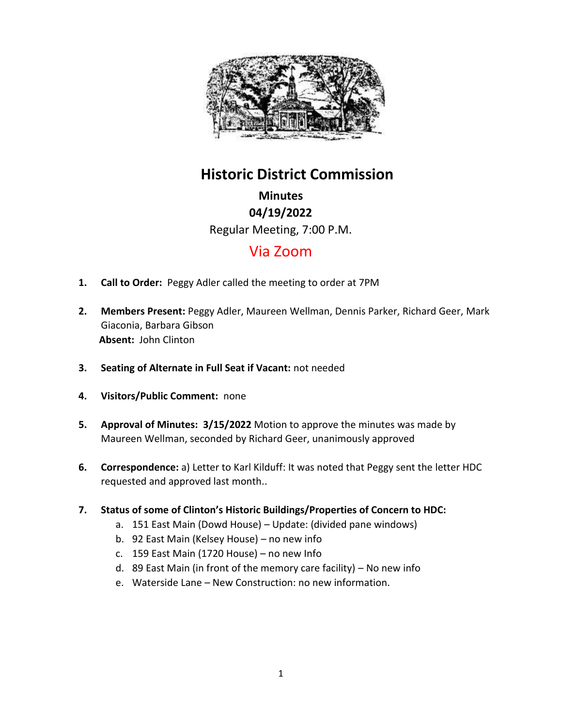

# **Historic District Commission**

**Minutes 04/19/2022** Regular Meeting, 7:00 P.M.

## Via Zoom

- **1. Call to Order:** Peggy Adler called the meeting to order at 7PM
- **2. Members Present:** Peggy Adler, Maureen Wellman, Dennis Parker, Richard Geer, Mark Giaconia, Barbara Gibson **Absent:** John Clinton
- **3. Seating of Alternate in Full Seat if Vacant:** not needed
- **4. Visitors/Public Comment:** none
- **5. Approval of Minutes: 3/15/2022** Motion to approve the minutes was made by Maureen Wellman, seconded by Richard Geer, unanimously approved
- **6. Correspondence:** a) Letter to Karl Kilduff: It was noted that Peggy sent the letter HDC requested and approved last month..
- **7. Status of some of Clinton's Historic Buildings/Properties of Concern to HDC:** 
	- a. 151 East Main (Dowd House) Update: (divided pane windows)
	- b. 92 East Main (Kelsey House) no new info
	- c. 159 East Main (1720 House) no new Info
	- d. 89 East Main (in front of the memory care facility) No new info
	- e. Waterside Lane New Construction: no new information.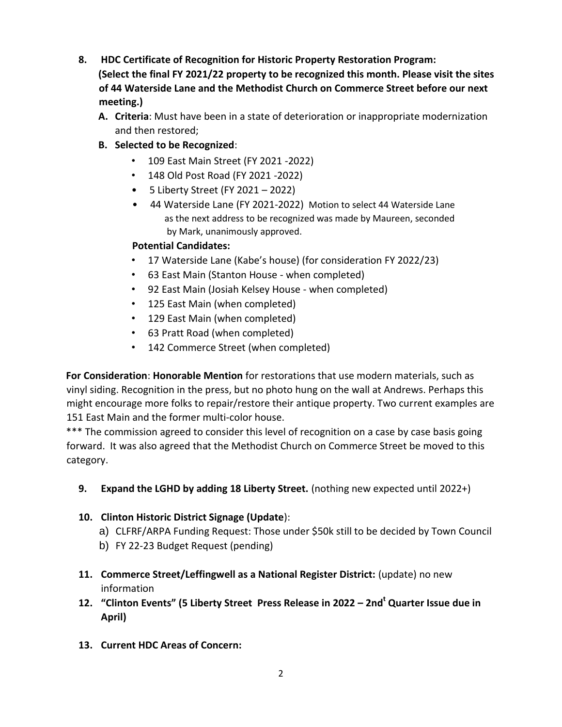- **8. HDC Certificate of Recognition for Historic Property Restoration Program: (Select the final FY 2021/22 property to be recognized this month. Please visit the sites of 44 Waterside Lane and the Methodist Church on Commerce Street before our next meeting.)** 
	- **A. Criteria**: Must have been in a state of deterioration or inappropriate modernization and then restored;
	- **B. Selected to be Recognized**:
		- 109 East Main Street (FY 2021 -2022)
		- 148 Old Post Road (FY 2021 -2022)
		- 5 Liberty Street (FY 2021 2022)
		- 44 Waterside Lane (FY 2021-2022) Motion to select 44 Waterside Lane as the next address to be recognized was made by Maureen, seconded by Mark, unanimously approved.

### **Potential Candidates:**

- 17 Waterside Lane (Kabe's house) (for consideration FY 2022/23)
- 63 East Main (Stanton House when completed)
- 92 East Main (Josiah Kelsey House when completed)
- 125 East Main (when completed)
- 129 East Main (when completed)
- 63 Pratt Road (when completed)
- 142 Commerce Street (when completed)

**For Consideration**: **Honorable Mention** for restorations that use modern materials, such as vinyl siding. Recognition in the press, but no photo hung on the wall at Andrews. Perhaps this might encourage more folks to repair/restore their antique property. Two current examples are 151 East Main and the former multi-color house.

\*\*\* The commission agreed to consider this level of recognition on a case by case basis going forward. It was also agreed that the Methodist Church on Commerce Street be moved to this category.

**9. Expand the LGHD by adding 18 Liberty Street.** (nothing new expected until 2022+)

## **10. Clinton Historic District Signage (Update**):

- a) CLFRF/ARPA Funding Request: Those under \$50k still to be decided by Town Council
- b) FY 22-23 Budget Request (pending)
- **11. Commerce Street/Leffingwell as a National Register District:** (update) no new information
- **12. "Clinton Events" (5 Liberty Street Press Release in 2022 – 2nd <sup>t</sup> Quarter Issue due in April)**
- **13. Current HDC Areas of Concern:**